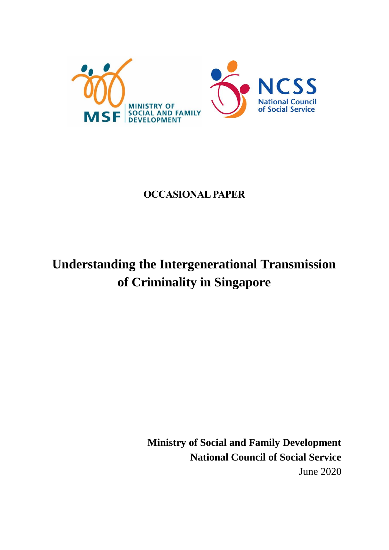

# **OCCASIONAL PAPER**

# **Understanding the Intergenerational Transmission of Criminality in Singapore**

**Ministry of Social and Family Development National Council of Social Service**  June 2020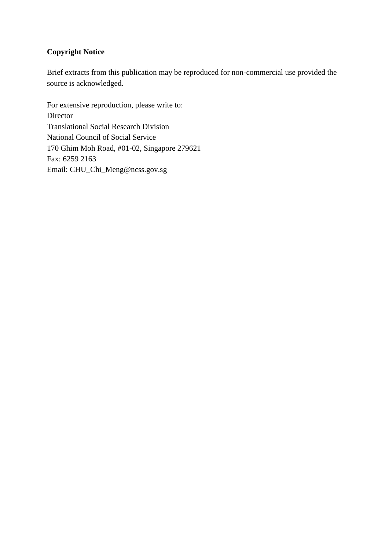# **Copyright Notice**

Brief extracts from this publication may be reproduced for non-commercial use provided the source is acknowledged.

For extensive reproduction, please write to: Director Translational Social Research Division National Council of Social Service 170 Ghim Moh Road, #01-02, Singapore 279621 Fax: 6259 2163 Email: CHU\_Chi\_Meng@ncss.gov.sg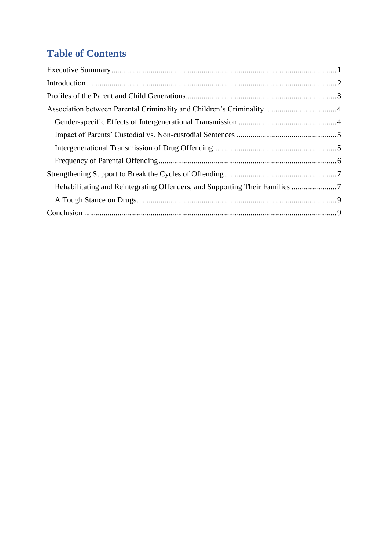# **Table of Contents**

| Rehabilitating and Reintegrating Offenders, and Supporting Their Families 7 |  |
|-----------------------------------------------------------------------------|--|
|                                                                             |  |
|                                                                             |  |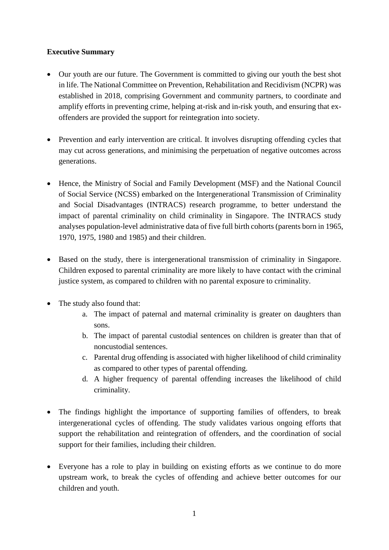#### **Executive Summary**

- Our youth are our future. The Government is committed to giving our youth the best shot in life. The National Committee on Prevention, Rehabilitation and Recidivism (NCPR) was established in 2018, comprising Government and community partners, to coordinate and amplify efforts in preventing crime, helping at-risk and in-risk youth, and ensuring that exoffenders are provided the support for reintegration into society.
- Prevention and early intervention are critical. It involves disrupting offending cycles that may cut across generations, and minimising the perpetuation of negative outcomes across generations.
- Hence, the Ministry of Social and Family Development (MSF) and the National Council of Social Service (NCSS) embarked on the Intergenerational Transmission of Criminality and Social Disadvantages (INTRACS) research programme, to better understand the impact of parental criminality on child criminality in Singapore. The INTRACS study analyses population-level administrative data of five full birth cohorts (parents born in 1965, 1970, 1975, 1980 and 1985) and their children.
- Based on the study, there is intergenerational transmission of criminality in Singapore. Children exposed to parental criminality are more likely to have contact with the criminal justice system, as compared to children with no parental exposure to criminality.
- The study also found that:
	- a. The impact of paternal and maternal criminality is greater on daughters than sons.
	- b. The impact of parental custodial sentences on children is greater than that of noncustodial sentences.
	- c. Parental drug offending is associated with higher likelihood of child criminality as compared to other types of parental offending.
	- d. A higher frequency of parental offending increases the likelihood of child criminality.
- The findings highlight the importance of supporting families of offenders, to break intergenerational cycles of offending. The study validates various ongoing efforts that support the rehabilitation and reintegration of offenders, and the coordination of social support for their families, including their children.
- Everyone has a role to play in building on existing efforts as we continue to do more upstream work, to break the cycles of offending and achieve better outcomes for our children and youth.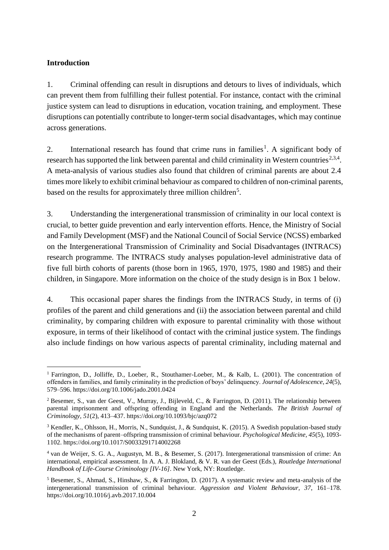#### **Introduction**

1

1. Criminal offending can result in disruptions and detours to lives of individuals, which can prevent them from fulfilling their fullest potential. For instance, contact with the criminal justice system can lead to disruptions in education, vocation training, and employment. These disruptions can potentially contribute to longer-term social disadvantages, which may continue across generations.

2. International research has found that crime runs in families<sup>1</sup>. A significant body of research has supported the link between parental and child criminality in Western countries<sup>2,3,4</sup>. A meta-analysis of various studies also found that children of criminal parents are about 2.4 times more likely to exhibit criminal behaviour as compared to children of non-criminal parents, based on the results for approximately three million children<sup>5</sup>.

3. Understanding the intergenerational transmission of criminality in our local context is crucial, to better guide prevention and early intervention efforts. Hence, the Ministry of Social and Family Development (MSF) and the National Council of Social Service (NCSS) embarked on the Intergenerational Transmission of Criminality and Social Disadvantages (INTRACS) research programme. The INTRACS study analyses population-level administrative data of five full birth cohorts of parents (those born in 1965, 1970, 1975, 1980 and 1985) and their children, in Singapore. More information on the choice of the study design is in Box 1 below.

4. This occasional paper shares the findings from the INTRACS Study, in terms of (i) profiles of the parent and child generations and (ii) the association between parental and child criminality, by comparing children with exposure to parental criminality with those without exposure, in terms of their likelihood of contact with the criminal justice system. The findings also include findings on how various aspects of parental criminality, including maternal and

<sup>1</sup> Farrington, D., Jolliffe, D., Loeber, R., Stouthamer-Loeber, M., & Kalb, L. (2001). The concentration of offenders in families, and family criminality in the prediction of boys' delinquency. *Journal of Adolescence*, *24*(5), 579–596. https://doi.org/10.1006/jado.2001.0424

<sup>&</sup>lt;sup>2</sup> Besemer, S., van der Geest, V., Murray, J., Bijleveld, C., & Farrington, D. (2011). The relationship between parental imprisonment and offspring offending in England and the Netherlands. *The British Journal of Criminology, 51*(2), 413–437. https://doi.org/10.1093/bjc/azq072

<sup>&</sup>lt;sup>3</sup> Kendler, K., Ohlsson, H., Morris, N., Sundquist, J., & Sundquist, K. (2015). A Swedish population-based study of the mechanisms of parent–offspring transmission of criminal behaviour. *Psychological Medicine, 45*(5), 1093- 1102. https://doi.org/10.1017/S0033291714002268

<sup>4</sup> van de Weijer, S. G. A., Augustyn, M. B., & Besemer, S. (2017). Intergenerational transmission of crime: An international, empirical assessment. In A. A. J. Blokland, & V. R. van der Geest (Eds.), *Routledge International Handbook of Life-Course Criminology [IV-16]*. New York, NY: Routledge.

<sup>&</sup>lt;sup>5</sup> Besemer, S., Ahmad, S., Hinshaw, S., & Farrington, D. (2017). A systematic review and meta-analysis of the intergenerational transmission of criminal behaviour. *Aggression and Violent Behaviour, 37*, 161–178. https://doi.org/10.1016/j.avb.2017.10.004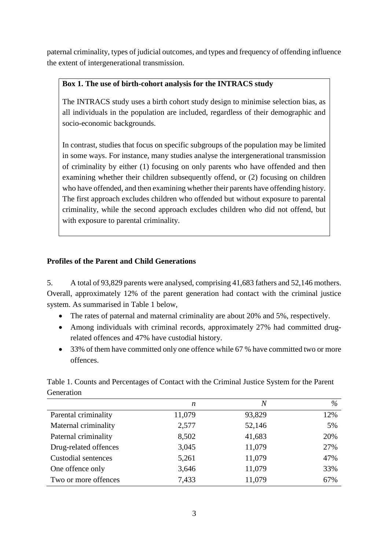paternal criminality, types of judicial outcomes, and types and frequency of offending influence the extent of intergenerational transmission.

## **Box 1. The use of birth-cohort analysis for the INTRACS study**

The INTRACS study uses a birth cohort study design to minimise selection bias, as all individuals in the population are included, regardless of their demographic and socio-economic backgrounds.

In contrast, studies that focus on specific subgroups of the population may be limited in some ways. For instance, many studies analyse the intergenerational transmission of criminality by either (1) focusing on only parents who have offended and then examining whether their children subsequently offend, or (2) focusing on children who have offended, and then examining whether their parents have offending history. The first approach excludes children who offended but without exposure to parental criminality, while the second approach excludes children who did not offend, but with exposure to parental criminality.

### **Profiles of the Parent and Child Generations**

5. A total of 93,829 parents were analysed, comprising 41,683 fathers and 52,146 mothers. Overall, approximately 12% of the parent generation had contact with the criminal justice system. As summarised in Table 1 below,

- The rates of paternal and maternal criminality are about 20% and 5%, respectively.
- Among individuals with criminal records, approximately 27% had committed drugrelated offences and 47% have custodial history.
- 33% of them have committed only one offence while 67% have committed two or more offences.

|                       | n      | $\boldsymbol{N}$ | %   |
|-----------------------|--------|------------------|-----|
| Parental criminality  | 11,079 | 93,829           | 12% |
| Maternal criminality  | 2,577  | 52,146           | 5%  |
| Paternal criminality  | 8,502  | 41,683           | 20% |
| Drug-related offences | 3,045  | 11,079           | 27% |
| Custodial sentences   | 5,261  | 11,079           | 47% |
| One offence only      | 3,646  | 11,079           | 33% |
| Two or more offences  | 7,433  | 11,079           | 67% |

Table 1. Counts and Percentages of Contact with the Criminal Justice System for the Parent Generation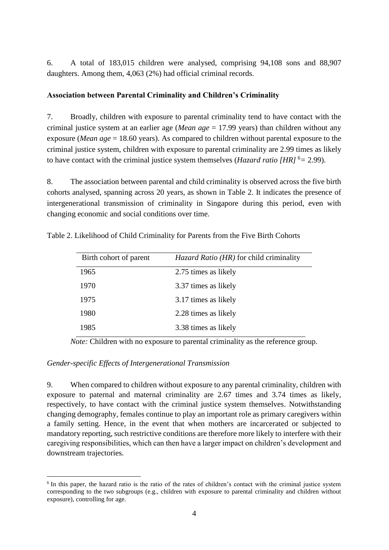6. A total of 183,015 children were analysed, comprising 94,108 sons and 88,907 daughters. Among them, 4,063 (2%) had official criminal records.

#### **Association between Parental Criminality and Children's Criminality**

7. Broadly, children with exposure to parental criminality tend to have contact with the criminal justice system at an earlier age (*Mean age* = 17.99 years) than children without any exposure (*Mean age* = 18.60 years). As compared to children without parental exposure to the criminal justice system, children with exposure to parental criminality are 2.99 times as likely to have contact with the criminal justice system themselves (*Hazard ratio* [HR]<sup>6</sup> = 2.99).

8. The association between parental and child criminality is observed across the five birth cohorts analysed, spanning across 20 years, as shown in Table 2. It indicates the presence of intergenerational transmission of criminality in Singapore during this period, even with changing economic and social conditions over time.

| Birth cohort of parent | Hazard Ratio (HR) for child criminality |
|------------------------|-----------------------------------------|
| 1965                   | 2.75 times as likely                    |
| 1970                   | 3.37 times as likely                    |
| 1975                   | 3.17 times as likely                    |
| 1980                   | 2.28 times as likely                    |
| 1985                   | 3.38 times as likely                    |

Table 2. Likelihood of Child Criminality for Parents from the Five Birth Cohorts

*Note:* Children with no exposure to parental criminality as the reference group.

#### *Gender-specific Effects of Intergenerational Transmission*

<u>.</u>

9. When compared to children without exposure to any parental criminality, children with exposure to paternal and maternal criminality are 2.67 times and 3.74 times as likely, respectively, to have contact with the criminal justice system themselves. Notwithstanding changing demography, females continue to play an important role as primary caregivers within a family setting. Hence, in the event that when mothers are incarcerated or subjected to mandatory reporting, such restrictive conditions are therefore more likely to interfere with their caregiving responsibilities, which can then have a larger impact on children's development and downstream trajectories.

<sup>&</sup>lt;sup>6</sup> In this paper, the hazard ratio is the ratio of the rates of children's contact with the criminal justice system corresponding to the two subgroups (e.g., children with exposure to parental criminality and children without exposure), controlling for age.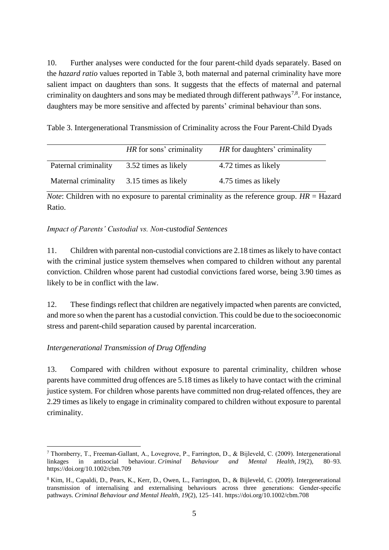10. Further analyses were conducted for the four parent-child dyads separately. Based on the *hazard ratio* values reported in Table 3, both maternal and paternal criminality have more salient impact on daughters than sons. It suggests that the effects of maternal and paternal criminality on daughters and sons may be mediated through different pathways<sup>7,8</sup>. For instance, daughters may be more sensitive and affected by parents' criminal behaviour than sons.

Table 3. Intergenerational Transmission of Criminality across the Four Parent-Child Dyads

|                      | HR for sons' criminality | HR for daughters' criminality |
|----------------------|--------------------------|-------------------------------|
| Paternal criminality | 3.52 times as likely     | 4.72 times as likely          |
| Maternal criminality | 3.15 times as likely     | 4.75 times as likely          |

*Note*: Children with no exposure to parental criminality as the reference group. *HR* = Hazard Ratio.

# *Impact of Parents' Custodial vs. Non-custodial Sentences*

11. Children with parental non-custodial convictions are 2.18 times as likely to have contact with the criminal justice system themselves when compared to children without any parental conviction. Children whose parent had custodial convictions fared worse, being 3.90 times as likely to be in conflict with the law.

12. These findings reflect that children are negatively impacted when parents are convicted, and more so when the parent has a custodial conviction. This could be due to the socioeconomic stress and parent-child separation caused by parental incarceration.

# *Intergenerational Transmission of Drug Offending*

13. Compared with children without exposure to parental criminality, children whose parents have committed drug offences are 5.18 times as likely to have contact with the criminal justice system. For children whose parents have committed non drug-related offences, they are 2.29 times as likely to engage in criminality compared to children without exposure to parental criminality.

<sup>1</sup> <sup>7</sup> Thornberry, T., Freeman‐Gallant, A., Lovegrove, P., Farrington, D., & Bijleveld, C. (2009). Intergenerational linkages in antisocial behaviour. *Criminal Behaviour and Mental Health*, *19*(2), 80–93. https://doi.org/10.1002/cbm.709

<sup>&</sup>lt;sup>8</sup> Kim, H., Capaldi, D., Pears, K., Kerr, D., Owen, L., Farrington, D., & Bijleveld, C. (2009). Intergenerational transmission of internalising and externalising behaviours across three generations: Gender‐specific pathways. *Criminal Behaviour and Mental Health*, *19*(2), 125–141. https://doi.org/10.1002/cbm.708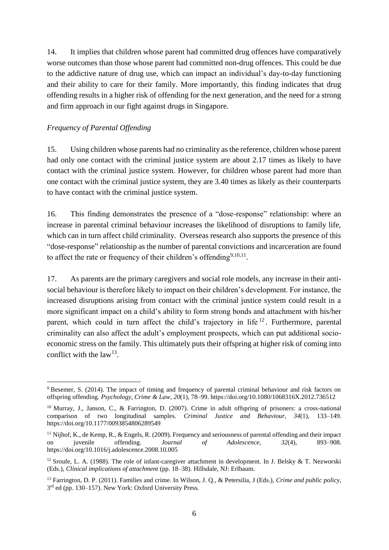14. It implies that children whose parent had committed drug offences have comparatively worse outcomes than those whose parent had committed non-drug offences. This could be due to the addictive nature of drug use, which can impact an individual's day-to-day functioning and their ability to care for their family. More importantly, this finding indicates that drug offending results in a higher risk of offending for the next generation, and the need for a strong and firm approach in our fight against drugs in Singapore.

#### *Frequency of Parental Offending*

1

15. Using children whose parents had no criminality as the reference, children whose parent had only one contact with the criminal justice system are about 2.17 times as likely to have contact with the criminal justice system. However, for children whose parent had more than one contact with the criminal justice system, they are 3.40 times as likely as their counterparts to have contact with the criminal justice system.

16. This finding demonstrates the presence of a "dose-response" relationship: where an increase in parental criminal behaviour increases the likelihood of disruptions to family life, which can in turn affect child criminality. Overseas research also supports the presence of this "dose-response" relationship as the number of parental convictions and incarceration are found to affect the rate or frequency of their children's offending $9,10,11$ .

17. As parents are the primary caregivers and social role models, any increase in their antisocial behaviour is therefore likely to impact on their children's development. For instance, the increased disruptions arising from contact with the criminal justice system could result in a more significant impact on a child's ability to form strong bonds and attachment with his/her parent, which could in turn affect the child's trajectory in life <sup>12</sup>. Furthermore, parental criminality can also affect the adult's employment prospects, which can put additional socioeconomic stress on the family. This ultimately puts their offspring at higher risk of coming into conflict with the law<sup>13</sup>.

<sup>&</sup>lt;sup>9</sup> Besemer, S. (2014). The impact of timing and frequency of parental criminal behaviour and risk factors on offspring offending. *Psychology, Crime & Law*, *20*(1), 78–99. https://doi.org/10.1080/1068316X.2012.736512

<sup>10</sup> Murray, J., Janson, C., & Farrington, D. (2007). Crime in adult offspring of prisoners: a cross-national comparison of two longitudinal samples. *Criminal Justice and Behaviour*, *34*(1), 133–149. https://doi.org/10.1177/0093854806289549

 $11$  Nijhof, K., de Kemp, R., & Engels, R. (2009). Frequency and seriousness of parental offending and their impact on juvenile offending. *Journal of Adolescence*, *32*(4), 893–908. https://doi.org/10.1016/j.adolescence.2008.10.005

<sup>&</sup>lt;sup>12</sup> Sroufe, L. A. (1988). The role of infant-caregiver attachment in development. In J. Belsky & T. Nezworski (Eds.), *Clinical implications of attachment* (pp. 18–38). Hillsdale, NJ: Erlbaum.

<sup>13</sup> Farrington, D. P. (2011). Families and crime. In Wilson, J. Q., & Petersilia, J (Eds.), *Crime and public policy*, 3<sup>rd</sup> ed (pp. 130–157). New York: Oxford University Press.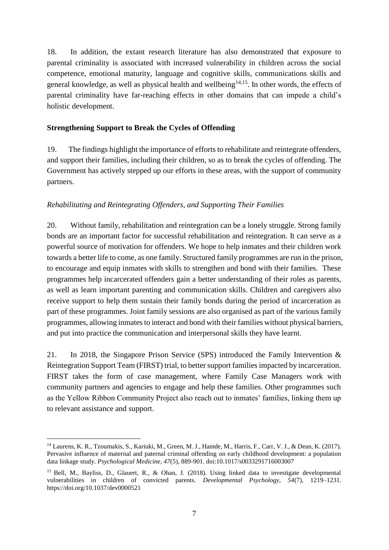18. In addition, the extant research literature has also demonstrated that exposure to parental criminality is associated with increased vulnerability in children across the social competence, emotional maturity, language and cognitive skills, communications skills and general knowledge, as well as physical health and wellbeing<sup>14,15</sup>. In other words, the effects of parental criminality have far-reaching effects in other domains that can impede a child's holistic development.

#### **Strengthening Support to Break the Cycles of Offending**

19. The findings highlight the importance of efforts to rehabilitate and reintegrate offenders, and support their families, including their children, so as to break the cycles of offending. The Government has actively stepped up our efforts in these areas, with the support of community partners.

#### *Rehabilitating and Reintegrating Offenders, and Supporting Their Families*

20. Without family, rehabilitation and reintegration can be a lonely struggle. Strong family bonds are an important factor for successful rehabilitation and reintegration. It can serve as a powerful source of motivation for offenders. We hope to help inmates and their children work towards a better life to come, as one family. Structured family programmes are run in the prison, to encourage and equip inmates with skills to strengthen and bond with their families. These programmes help incarcerated offenders gain a better understanding of their roles as parents, as well as learn important parenting and communication skills. Children and caregivers also receive support to help them sustain their family bonds during the period of incarceration as part of these programmes. Joint family sessions are also organised as part of the various family programmes, allowing inmates to interact and bond with their families without physical barriers, and put into practice the communication and interpersonal skills they have learnt.

21. In 2018, the Singapore Prison Service (SPS) introduced the Family Intervention & Reintegration Support Team (FIRST) trial, to better support families impacted by incarceration. FIRST takes the form of case management, where Family Case Managers work with community partners and agencies to engage and help these families. Other programmes such as the Yellow Ribbon Community Project also reach out to inmates' families, linking them up to relevant assistance and support.

1

<sup>&</sup>lt;sup>14</sup> Laurens, K. R., Tzoumakis, S., Kariuki, M., Green, M. J., Hamde, M., Harris, F., Carr, V. J., & Dean, K. (2017). Pervasive influence of maternal and paternal criminal offending on early childhood development: a population data linkage study. *Psychological Medicine, 47*(5), 889-901. doi:10.1017/s0033291716003007

<sup>&</sup>lt;sup>15</sup> Bell, M., Bayliss, D., Glauert, R., & Ohan, J. (2018). Using linked data to investigate developmental vulnerabilities in children of convicted parents. *Developmental Psychology, 54*(7), 1219–1231. https://doi.org/10.1037/dev0000521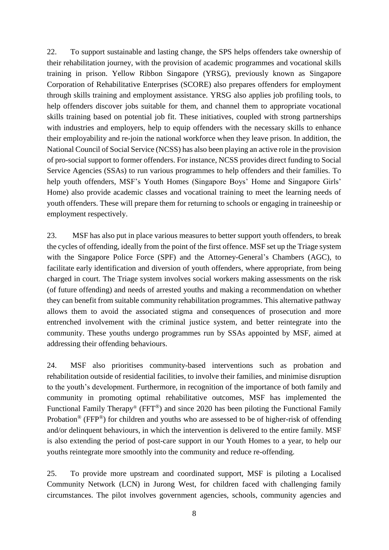22. To support sustainable and lasting change, the SPS helps offenders take ownership of their rehabilitation journey, with the provision of academic programmes and vocational skills training in prison. Yellow Ribbon Singapore (YRSG), previously known as Singapore Corporation of Rehabilitative Enterprises (SCORE) also prepares offenders for employment through skills training and employment assistance. YRSG also applies job profiling tools, to help offenders discover jobs suitable for them, and channel them to appropriate vocational skills training based on potential job fit. These initiatives, coupled with strong partnerships with industries and employers, help to equip offenders with the necessary skills to enhance their employability and re-join the national workforce when they leave prison. In addition, the National Council of Social Service (NCSS) has also been playing an active role in the provision of pro-social support to former offenders. For instance, NCSS provides direct funding to Social Service Agencies (SSAs) to run various programmes to help offenders and their families. To help youth offenders, MSF's Youth Homes (Singapore Boys' Home and Singapore Girls' Home) also provide academic classes and vocational training to meet the learning needs of youth offenders. These will prepare them for returning to schools or engaging in traineeship or employment respectively.

23. MSF has also put in place various measures to better support youth offenders, to break the cycles of offending, ideally from the point of the first offence. MSF set up the Triage system with the Singapore Police Force (SPF) and the Attorney-General's Chambers (AGC), to facilitate early identification and diversion of youth offenders, where appropriate, from being charged in court. The Triage system involves social workers making assessments on the risk (of future offending) and needs of arrested youths and making a recommendation on whether they can benefit from suitable community rehabilitation programmes. This alternative pathway allows them to avoid the associated stigma and consequences of prosecution and more entrenched involvement with the criminal justice system, and better reintegrate into the community. These youths undergo programmes run by SSAs appointed by MSF, aimed at addressing their offending behaviours.

24. MSF also prioritises community-based interventions such as probation and rehabilitation outside of residential facilities, to involve their families, and minimise disruption to the youth's development. Furthermore, in recognition of the importance of both family and community in promoting optimal rehabilitative outcomes, MSF has implemented the Functional Family Therapy<sup>®</sup> (FFT<sup>®</sup>) and since 2020 has been piloting the Functional Family Probation<sup>®</sup> (FFP<sup>®</sup>) for children and youths who are assessed to be of higher-risk of offending and/or delinquent behaviours, in which the intervention is delivered to the entire family. MSF is also extending the period of post-care support in our Youth Homes to a year, to help our youths reintegrate more smoothly into the community and reduce re-offending.

25. To provide more upstream and coordinated support, MSF is piloting a Localised Community Network (LCN) in Jurong West, for children faced with challenging family circumstances. The pilot involves government agencies, schools, community agencies and